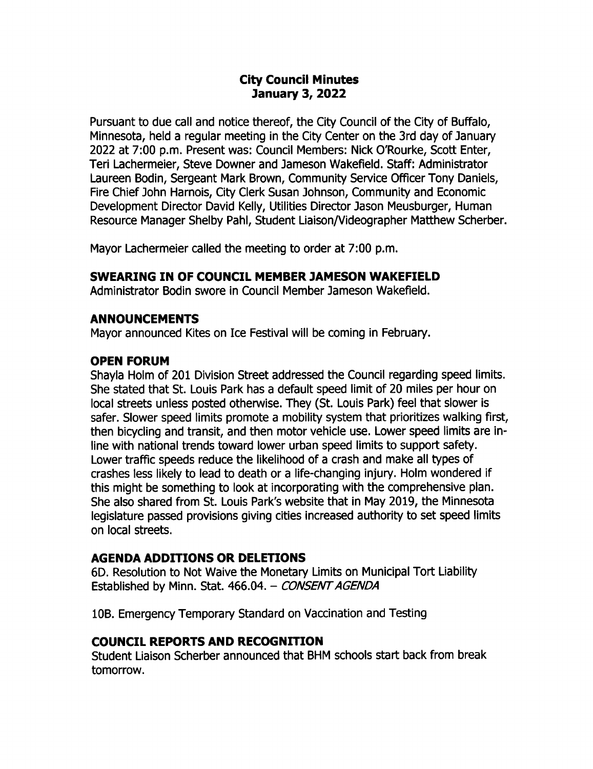## City Council Minutes 7anuary 3, 2022

Pursuant to due call and notice thereof, the City Council of the City of BufFalo, Minnesota, held a regular meeting in the City Center on the 3rd day of January 2022 at 7:00 p.m. Present was: Council Members: Nick O'Rourke, Scott Enter, Teri Lachermeier, Steve Downer and Jameson Wakefield. Staff: Administrator Laureen Bodin, Sergeant Mark Brown, Community Service Officer Tony Daniels, Fire Chief John Harnois, City Clerk Susan Johnson, Community and Economic Development Director David Kelly, Utilities Director Jason Meusburger, Human Resource Manager Shelby Pahl, Student Liaison/ Videographer Matthew Scherber.

Mayor Lachermeier called the meeting to order at 7:00 p.m.

#### SWEARING IN OF COUNCIL MEMBER 7AMESON WAKEFIELD

Administrator Bodin swore in Council Member ] ameson Wakefield.

#### ANNOUNCEMENTS

Mayor announced Kites on Ice Festival will be coming in February.

### OPEN FORUM

Shayla Holm of 201 Division Street addressed the Council regarding speed limits. She stated that St. Louis Park has a default speed limit of 20 miles per hour on local streets unless posted otherwise. They (St. Louis Park) feel that slower is safer. Slower speed limits promote a mobility system that prioritizes walking first, then bicycling and transit, and then motor vehicle use. Lower speed limits are inline with national trends toward lower urban speed limits to support safety. Lower traffic speeds reduce the likelihood of a crash and make all types of crashes less likely to lead to death or a life- changing injury. Holm wondered if this might be something to look at incorporating with the comprehensive plan. She also shared from St. Louis Park's website that in May 2019, the Minnesota legislature passed provisions giving cities increased authority to set speed limits on local streets.

### AGENDA ADDITIONS OR DELETIONS

6D. Resolution to Not Waive the Monetary Limits on Municipal Tort Liability Established by Minn. Stat. 466.04. - CONSENT AGENDA

10B. Emergency Temporary Standard on Vaccination and Testing

### COUNCIL REPORTS AND RECOGNITION

Student Liaison Scherber announced that BHM schools start back from break tomorrow.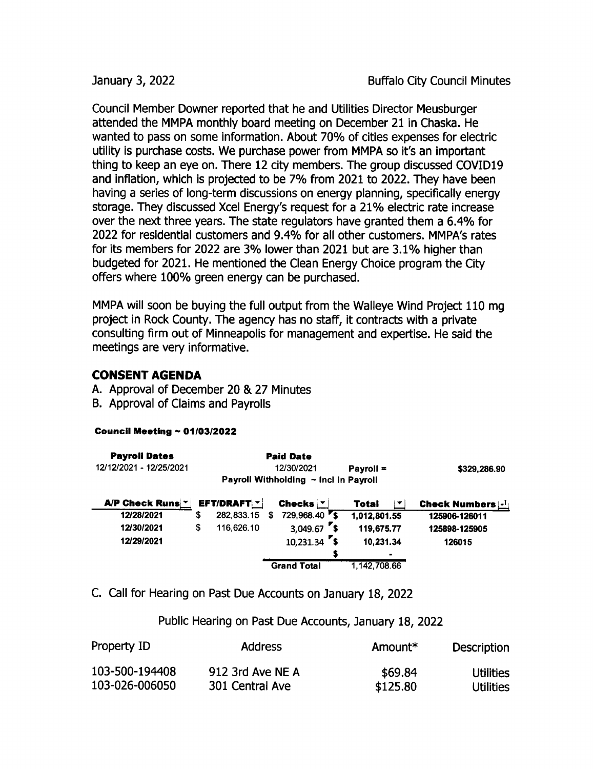Council Member powner reported that he and Utilities Director Meusburger attended the MMPA monthly board meeting on December 21 in Chaska. He wanted to pass on some information. About 70% of cities expenses for electric utility is purchase costs. We purchase power from MMPA so it's an important thing to keep an eye on. There 12 city members. The group discussed COVIDI9 and inflation, which is projected to be 7% from 2021 to 2022. They have been having a series of long-term discussions on energy planning, specifically energy storage. They discussed Xcel Energy's request for a 21% electric rate increase over the next three years. The state regulators have granted them <sup>a</sup> 6. 4% for 2022 for residential customers and 9.4% for all other customers. MMPA's rates for its members for 2022 are 3% lower than 2021 but are 3. 1% higher than budgeted for 2021. He mentioned the Clean Energy Choice program the City offers where 100% green energy can be purchased.

MMPA will soon be buying the full output from the Walleye Wind Project 110 mg project in Rock County. The agency has no staff, it contracts with a private consulting firm out of Minneapolis for management and expertise. He said the meetings are very informative.

### CONSENT AGENDA

- A. Approval of December 20 & 27 Minutes
- B. Approval of Claims and Payrolls

#### Council Meeting  $\sim 01/03/2022$

| <b>Payroll Dates</b>    |    |                    |   | <b>Paid Date</b>                      |              |                                             |
|-------------------------|----|--------------------|---|---------------------------------------|--------------|---------------------------------------------|
| 12/12/2021 - 12/25/2021 |    |                    |   | 12/30/2021                            | $Payroll =$  | \$329,286.90                                |
|                         |    |                    |   | Payroll Withholding ~ Incl in Payroll |              |                                             |
| A/P Check Runs *        |    | <b>EFT/DRAFT *</b> |   | Checks $ v $                          | Total        | <b>Check Numbers <math>\lfloor</math>-1</b> |
| 12/28/2021              | S  | 282,833.15         | S | $729,968.40$ s                        | 1,012,801.55 | 125906-126011                               |
| 12/30/2021              | \$ | 116,626.10         |   | $3,049.67$ s                          | 119,675.77   | 125898-125905                               |
| 12/29/2021              |    |                    |   | $10,231.34$ \$                        | 10,231.34    | 126015                                      |
|                         |    |                    |   |                                       |              |                                             |
|                         |    |                    |   | <b>Grand Total</b>                    | 1.142.708.66 |                                             |

C. Call for Hearing on Past Due Accounts on January 18, 2022

Public Hearing on Past Due Accounts, January 18, 2022

| Property ID    | <b>Address</b>   | Amount*  | <b>Description</b> |
|----------------|------------------|----------|--------------------|
| 103-500-194408 | 912 3rd Ave NE A | \$69.84  | Utilities          |
| 103-026-006050 | 301 Central Ave  | \$125.80 | Utilities          |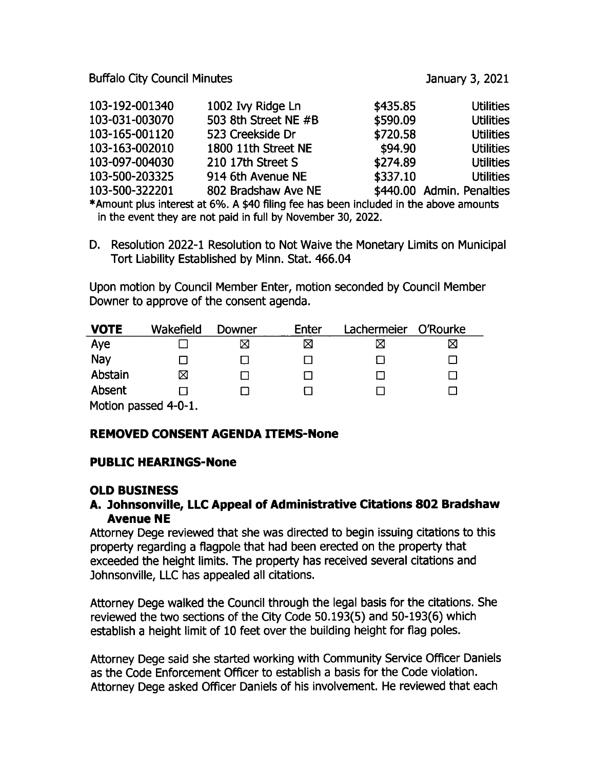Buffalo City Council Minutes **Internal Accord 2012** January 3, 2021

| 103-192-001340 | 1002 Ivy Ridge Ln    | \$435.85 | <b>Utilities</b>          |
|----------------|----------------------|----------|---------------------------|
| 103-031-003070 | 503 8th Street NE #B | \$590.09 | <b>Utilities</b>          |
| 103-165-001120 | 523 Creekside Dr     | \$720.58 | <b>Utilities</b>          |
| 103-163-002010 | 1800 11th Street NE  | \$94.90  | <b>Utilities</b>          |
| 103-097-004030 | 210 17th Street S    | \$274.89 | <b>Utilities</b>          |
| 103-500-203325 | 914 6th Avenue NE    | \$337.10 | <b>Utilities</b>          |
| 103-500-322201 | 802 Bradshaw Ave NE  |          | \$440.00 Admin. Penalties |

Amount plus interest at 6%. A \$40 filing fee has been included in the above amounts in the event they are not paid in full by November 30, 2022.

D. Resolution 2022-1 Resolution to Not Waive the Monetary Limits on Municipal Tort Liability Established by Minn. Stat. 466. 04

Upon motion by Council Member Enter, motion seconded by Council Member Downer to approve of the consent agenda.

| <b>VOTE</b>          | Wakefield | Downer | Enter | Lachermeier | O'Rourke |
|----------------------|-----------|--------|-------|-------------|----------|
| Aye                  |           | ⊠      | ⊠     |             | ⊠        |
| Nay                  |           |        |       |             |          |
| Abstain              | ⊠         |        |       |             |          |
| Absent               |           |        |       |             |          |
| Motion passed 4-0-1. |           |        |       |             |          |

# REMOVED CONSENT AGENDA ITEMS- None

### PUBLIC HEARINGS-None

### OLD BUSINESS

#### A. 7ohnsonville, LLC Appeal of Administrative Citations 802 Bradshaw Avenue NE

Attorney Dege reviewed that she was directed to begin issuing citations to this property regarding a flagpole that had been erected on the property that exceeded the height limits. The property has received several citations and Johnsonville, LLC has appealed all citations.

Attorney Dege walked the Council through the legal basis for the citations. She reviewed the two sections of the City Code 50.193(5) and 50-193(6) which establish a height limit of 10 feet over the building height for flag poles.

Attorney Dege said she started working with Community Service Officer Daniels as the Code Enforcement Officer to establish a basis for the Code violation. Attorney Dege asked Officer Daniels of his involvement. He reviewed that each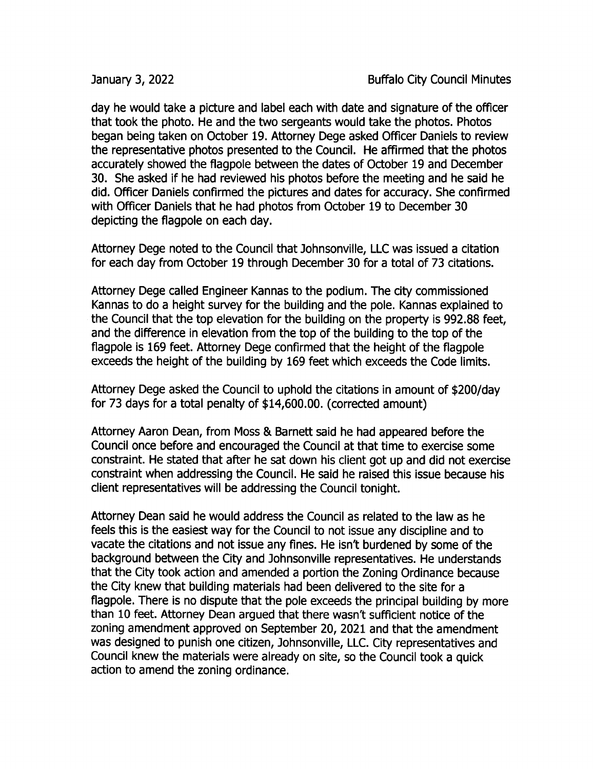day he would take a picture and label each with date and signature of the officer that took the photo. He and the two sergeants would take the photos. Photos began being taken on October 19. Attorney Dege asked Officer Daniels to review the representative photos presented to the Council. He affirmed that the photos accurately showed the flagpole between the dates of October 19 and December 30. She asked if he had reviewed his photos before the meeting and he said he did. Officer Daniels confirmed the pictures and dates for accuracy. She confirmed with Officer Daniels that he had photos from October 19 to December 30 depicting the flagpole on each day.

Attorney Dege noted to the Council that Johnsonville, LLC was issued a citation for each day from October 19 through December 30 for a total of 73 citations.

Attorney Dege called Engineer Kannas to the podium. The city commissioned Kannas to do a height survey for the building and the pole. Kannas explained to the Council that the top elevation for the building on the property is 992.88 feet, and the difference in elevation from the top of the building to the top of the flagpole is 169 feet. Attorney Dege confirmed that the height of the flagpole exceeds the height of the building by 169 feet which exceeds the Code limits.

Attorney Dege asked the Council to uphold the citations in amount of \$200/day for 73 days for a total penalty of \$14,600.00. (corrected amount)

Attorney Aaron Dean, from Moss & Barnett said he had appeared before the Council once before and encouraged the Council at that time to exercise some constraint. He stated that after he sat down his client got up and did not exercise constraint when addressing the Council. He said he raised this issue because his client representatives will be addressing the Council tonight.

Attorney Dean said he would address the Council as related to the law as he feels this is the easiest way for the Council to not issue any discipline and to vacate the citations and not issue any fines. He isn't burdened by some of the background between the City and Johnsonville representatives. He understands that the City took action and amended a portion the Zoning Ordinance because the City knew that building materials had been delivered to the site for a flagpole. There is no dispute that the pole exceeds the principal building by more than 10 feet. Attorney Dean argued that there wasn't sufficient notice of the zoning amendment approved on September 20, 2021 and that the amendment was designed to punish one citizen, Johnsonville, LLC. City representatives and Council knew the materials were already on site, so the Council took a quick action to amend the zoning ordinance.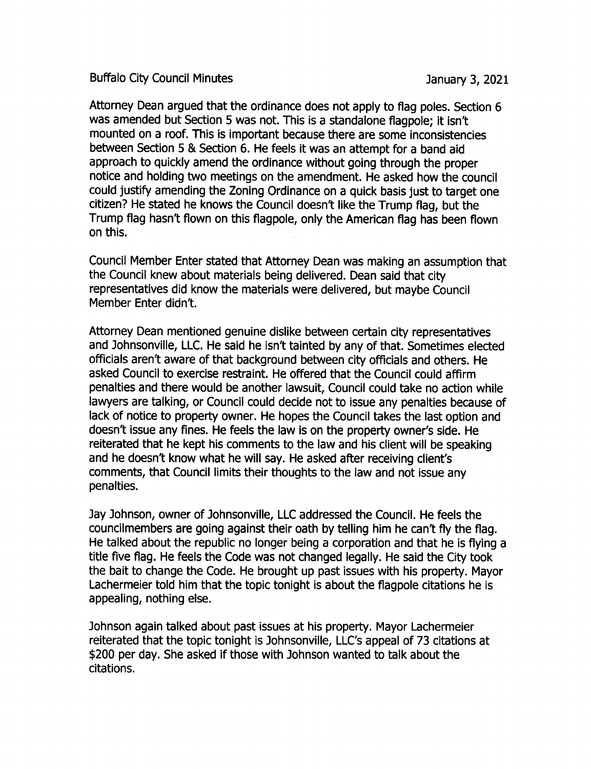Buffalo City Council Minutes **anual Exercise 3, 2021** January 3, 2021

Attorney Dean argued that the ordinance does not apply to flag poles. Section 6 was amended but Section 5 was not. This is a standalone flagpole; it isn't mounted on a roof. This is important because there are some inconsistencies between Section 5 & Section 6. He feels it was an attempt for <sup>a</sup> band aid approach to quickly amend the ordinance without going through the proper notice and holding two meetings on the amendment. He asked how the council could justify amending the Zoning Ordinance on a quick basis just to target one citizen? He stated he knows the Council doesn't like the Trump flag, but the Trump flag hasn't flown on this flagpole, only the American flag has been flown on this.

Council Member Enter stated that Attorney Dean was making an assumption that the Council knew about materials being delivered. Dean said that city representatives did know the materials were delivered, but maybe Council Member Enter didn't.

Attorney Dean mentioned genuine dislike between certain city representatives and Johnsonville, LLC. He said he isn't tainted by any of that. Sometimes elected officials aren't aware of that background between city officials and others. He asked Council to exercise restraint. He offered that the Council could affirm penalties and there would be another lawsuit, Council could take no action while lawyers are talking, or Council could decide not to issue any penalties because of lack of notice to property owner. He hopes the Council takes the last option and doesn't issue any fines. He feels the law is on the property owner's side. He reiterated that he kept his comments to the law and his client will be speaking and he doesn't know what he will say. He asked after receiving client's comments, that Council limits their thoughts to the law and not issue any penalties.

ay Johnson, owner of Johnsonville, LLC addressed the Council. He feels the councilmembers are going against their oath by telling him he can't fly the flag. He talked about the republic no longer being a corporation and that he is flying a title five flag. He feels the Code was not changed legally. He said the City took the bait to change the Code. He brought up past issues with his property. Mayor Lachermeier told him that the topic tonight is about the flagpole citations he is appealing, nothing else.

Johnson again talked about past issues at his property. Mayor Lachermeier reiterated that the topic tonight is Johnsonville, LLC's appeal of 73 citations at \$200 per day. She asked if those with Johnson wanted to talk about the citations.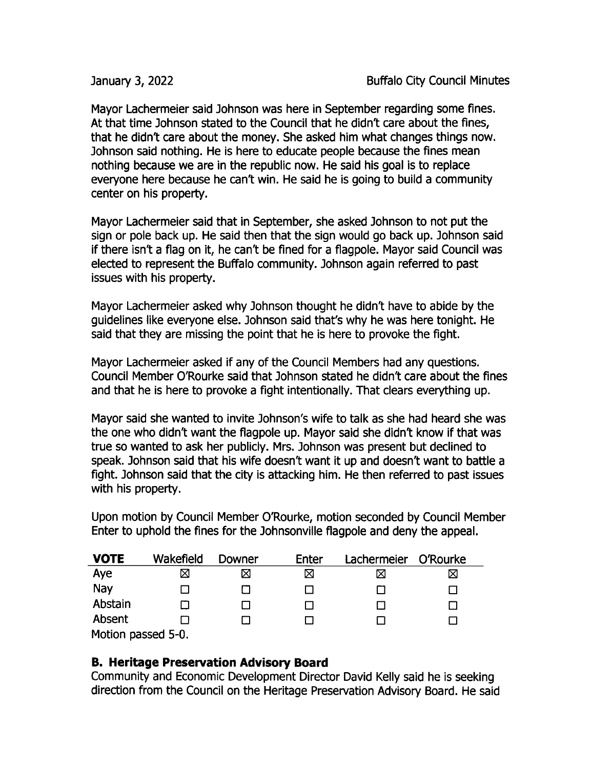Mayor Lachermeier said Johnson was here in September regarding some fines. At that time Johnson stated to the Council that he didn't care about the fines, that he didn't care about the money. She asked him what changes things now. Johnson said nothing. He is here to educate people because the fines mean nothing because we are in the republic now. He said his goal is to replace everyone here because he can't win. He said he is going to build <sup>a</sup> community center on his property.

Mayor Lachermeier said that in September, she asked Johnson to not put the sign or pole back up. He said then that the sign would go back up. Johnson said if there isn't a flag on it, he can't be fined for a flagpole. Mayor said Council was elected to represent the Buffalo community. Johnson again referred to past issues with his property.

Mayor Lachermeier asked why Johnson thought he didn't have to abide by the guidelines like everyone else. Johnson said that's why he was here tonight. He said that they are missing the point that he is here to provoke the fight.

Mayor Lachermeier asked if any of the Council Members had any questions. Council Member O'Rourke said that Johnson stated he didn't care about the fines and that he is here to provoke a fight intentionally. That clears everything up.

Mayor said she wanted to invite Johnson's wife to talk as she had heard she was the one who didn't want the flagpole up. Mayor said she didn't know if that was true so wanted to ask her publicly. Mrs. Johnson was present but declined to speak. Johnson said that his wife doesn't want it up and doesn't want to battle <sup>a</sup> fight. Johnson said that the city is attacking him. He then referred to past issues with his property.

Upon motion by Council Member 0'Rourke, motion seconded by Council Member Enter to uphold the fines for the Johnsonville flagpole and deny the appeal.

| <b>VOTE</b>        | Wakefield | Downer | Enter | Lachermeier | O'Rourke |
|--------------------|-----------|--------|-------|-------------|----------|
| Aye                | ⊠         | ⊠      | ⊠     | ⊠           | ⊠        |
| Nay                |           |        |       |             |          |
| Abstain            |           |        |       |             |          |
| Absent             |           |        |       |             |          |
| Motion passed 5-0. |           |        |       |             |          |

B. Heritage Preservation Advisory Board

Community and Economic Development Director David Kelly said he is seeking direction from the Council on the Heritage Preservation Advisory Board. He said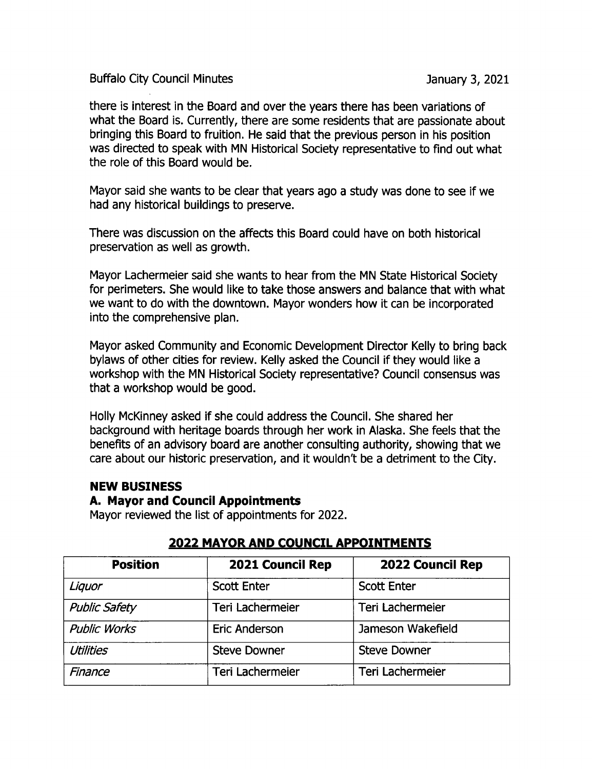Buffalo City Council Minutes **Internal Accord City Council Minutes** January 3, 2021

there is interest in the Board and over the years there has been variations of what the Board is. Currently, there are some residents that are passionate about bringing this Board to fruition. He said that the previous person in his position was directed to speak with MN Historical Society representative to find out what the role of this Board would be.

Mayor said she wants to be clear that years ago a study was done to see if we had any historical buildings to preserve.

There was discussion on the affects this Board could have on both historical preservation as well as growth.

Mayor Lachermeier said she wants to hear from the MN State Historical Society for perimeters. She would like to take those answers and balance that with what we want to do with the downtown. Mayor wonders how it can be incorporated into the comprehensive plan.

Mayor asked Community and Economic Development Director Kelly to bring back bylaws of other cities for review. Kelly asked the Council if they would like a workshop with the MN Historical Society representative? Council consensus was that a workshop would be good.

Holly McKinney asked if she could address the Council. She shared her background with heritage boards through her work in Alaska. She feels that the benefits of an advisory board are another consulting authority, showing that we care about our historic preservation, and it wouldn't be a detriment to the City.

### NEW BUSINESS

#### A. Mayor and Council Appointments

Mayor reviewed the list of appointments for 2022.

| <b>Position</b>      | <b>2021 Council Rep</b> | <b>2022 Council Rep</b> |
|----------------------|-------------------------|-------------------------|
| Liquor               | <b>Scott Enter</b>      | <b>Scott Enter</b>      |
| <b>Public Safety</b> | Teri Lachermeier        | Teri Lachermeier        |
| <b>Public Works</b>  | <b>Eric Anderson</b>    | Jameson Wakefield       |
| <b>Utilities</b>     | <b>Steve Downer</b>     | <b>Steve Downer</b>     |
| Finance              | Teri Lachermeier        | <b>Teri Lachermeier</b> |

# 2022 MAYOR AND COUNCIL APPOINTMENTS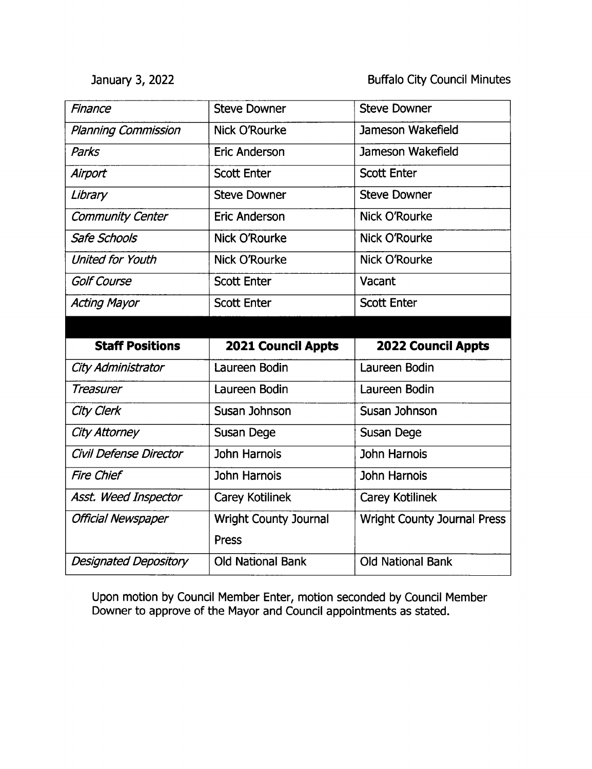January 3, 2022 **Buffalo City Council Minutes** 

| Finance                    | <b>Steve Downer</b>          | <b>Steve Downer</b>                |
|----------------------------|------------------------------|------------------------------------|
| <b>Planning Commission</b> | <b>Nick O'Rourke</b>         | Jameson Wakefield                  |
| <b>Parks</b>               | <b>Eric Anderson</b>         | Jameson Wakefield                  |
| Airport                    | <b>Scott Enter</b>           | <b>Scott Enter</b>                 |
| Library                    | <b>Steve Downer</b>          | <b>Steve Downer</b>                |
| <b>Community Center</b>    | <b>Eric Anderson</b>         | <b>Nick O'Rourke</b>               |
| <b>Safe Schools</b>        | <b>Nick O'Rourke</b>         | Nick O'Rourke                      |
| <b>United for Youth</b>    | Nick O'Rourke                | <b>Nick O'Rourke</b>               |
| <b>Golf Course</b>         | <b>Scott Enter</b>           | Vacant                             |
| <b>Acting Mayor</b>        | <b>Scott Enter</b>           | <b>Scott Enter</b>                 |
|                            |                              |                                    |
|                            |                              |                                    |
| <b>Staff Positions</b>     | <b>2021 Council Appts</b>    | 2022 Council Appts                 |
| City Administrator         | Laureen Bodin                | Laureen Bodin                      |
| <b>Treasurer</b>           | Laureen Bodin                | Laureen Bodin                      |
| City Clerk                 | Susan Johnson                | Susan Johnson                      |
| <b>City Attorney</b>       | <b>Susan Dege</b>            | Susan Dege                         |
| Civil Defense Director     | <b>John Harnois</b>          | <b>John Harnois</b>                |
| <b>Fire Chief</b>          | John Harnois                 | <b>John Harnois</b>                |
| Asst. Weed Inspector       | <b>Carey Kotilinek</b>       | <b>Carey Kotilinek</b>             |
| <b>Official Newspaper</b>  | <b>Wright County Journal</b> | <b>Wright County Journal Press</b> |
|                            | Press                        |                                    |

Upon motion by Council Member Enter, motion seconded by Council Member Downer to approve of the Mayor and Council appointments as stated.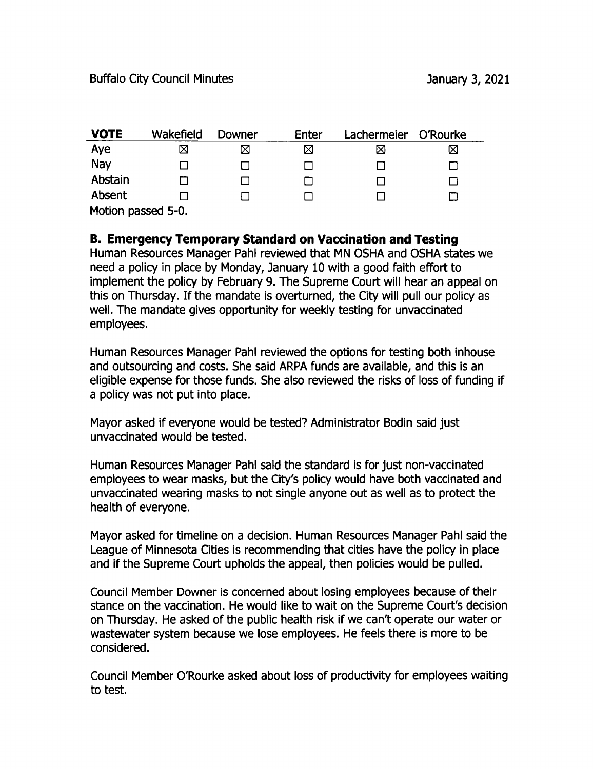| <b>VOTE</b>        | Wakefield | Downer | Enter | Lachermeier | O'Rourke |
|--------------------|-----------|--------|-------|-------------|----------|
| Aye                | Χ         | ⊠      | ⊠     | ⋈           | ⋈        |
| Nay                |           |        |       |             |          |
| Abstain            |           |        |       |             |          |
| Absent             |           |        |       |             |          |
| Motion passed 5-0. |           |        |       |             |          |

## B. Emergency Temporary Standard on Vaccination and Testing

Human Resources Manager Pahl reviewed that MN OSHA and OSHA states we need a policy in place by Monday, January 10 with a good faith effort to implement the policy by February 9. The Supreme Court will hear an appeal on this on Thursday. If the mandate is overturned, the City will pull our policy as well. The mandate gives opportunity for weekly testing for unvaccinated employees.

Human Resources Manager Pahl reviewed the options for testing both inhouse and outsourcing and costs. She said ARPA funds are available, and this is an eligible expense for those funds. She also reviewed the risks of loss of funding if a policy was not put into place.

Mayor asked if everyone would be tested? Administrator Bodin said just unvaccinated would be tested.

Human Resources Manager Pahl said the standard is for just non- vaccinated employees to wear masks, but the City's policy would have both vaccinated and unvaccinated wearing masks to not single anyone out as well as to protect the health of everyone.

Mayor asked for timeline on a decision. Human Resources Manager Pahl said the League of Minnesota Cities is recommending that cities have the policy in place and if the Supreme Court upholds the appeal, then policies would be pulled.

Council Member powner is concerned about losing employees because of their stance on the vaccination. He would like to wait on the Supreme Court's decision on Thursday. He asked of the public health risk if we can't operate our water or wastewater system because we lose employees. He feels there is more to be considered.

Council Member 0'Rourke asked about loss of productivity for employees waiting to test.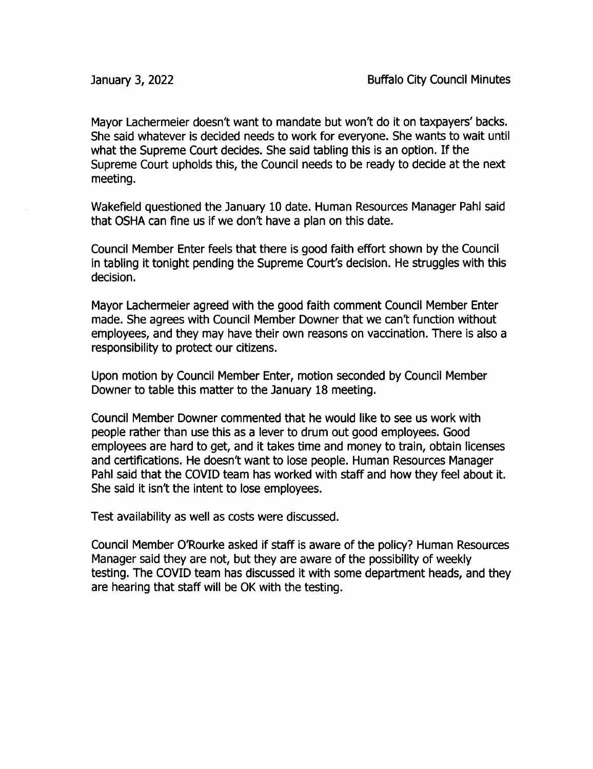Mayor Lachermeier doesn't want to mandate but won't do it on taxpayers' backs. She said whatever is decided needs to work for everyone. She wants to wait until what the Supreme Court decides. She said tabling this is an option. If the Supreme Court upholds this, the Council needs to be ready to decide at the next meeting.

Wakefield questioned the January 10 date. Human Resources Manager Pahl said that OSHA can fine us if we don't have <sup>a</sup> plan on this date.

Council Member Enter feels that there is good faith effort shown by the Council in tabling it tonight pending the Supreme Court's decision. He struggles with this decision.

Mayor Lachermeier agreed with the good faith comment Council Member Enter made. She agrees with Council Member Downer that we can't function without employees, and they may have their own reasons on vaccination. There is also a responsibility to protect our citizens.

Upon motion by Council Member Enter, motion seconded by Council Member Downer to table this matter to the January 18 meeting.

Council Member powner commented that he would like to see us work with people rather than use this as a lever to drum out good employees. Good employees are hard to get, and it takes time and money to train, obtain licenses and certifications. He doesn't want to lose people. Human Resources Manager Pahl said that the COVID team has worked with staff and how they feel about it. She said it isn't the intent to lose employees.

Test availability as well as costs were discussed.

Council Member 0'Rourke asked if staff is aware of the policy? Human Resources Manager said they are not, but they are aware of the possibility of weekly testing. The COVID team has discussed it with some department heads, and they are hearing that staff will be OK with the testing.